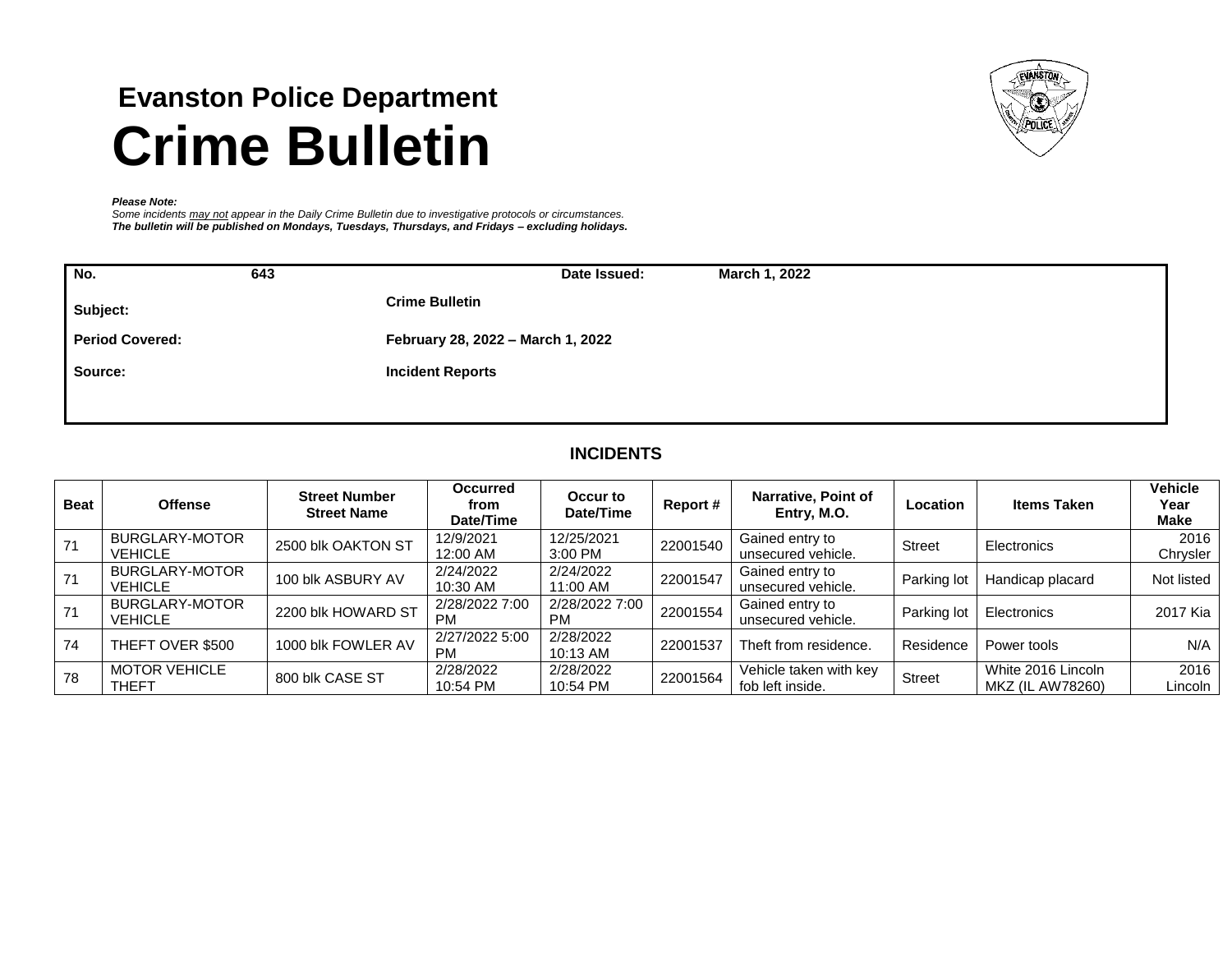# **Evanston Police Department Crime Bulletin**



#### *Please Note:*

*Some incidents may not appear in the Daily Crime Bulletin due to investigative protocols or circumstances. The bulletin will be published on Mondays, Tuesdays, Thursdays, and Fridays – excluding holidays.*

| No.                    | 643 | March 1, 2022<br>Date Issued:     |
|------------------------|-----|-----------------------------------|
| Subject:               |     | <b>Crime Bulletin</b>             |
| <b>Period Covered:</b> |     | February 28, 2022 - March 1, 2022 |
| Source:                |     | <b>Incident Reports</b>           |
|                        |     |                                   |

## **INCIDENTS**

| <b>Beat</b> | <b>Offense</b>                       | <b>Street Number</b><br><b>Street Name</b> | <b>Occurred</b><br>from<br>Date/Time | Occur to<br>Date/Time       | Report # | Narrative, Point of<br>Entry, M.O.         | Location      | <b>Items Taken</b>                     | <b>Vehicle</b><br>Year<br><b>Make</b> |
|-------------|--------------------------------------|--------------------------------------------|--------------------------------------|-----------------------------|----------|--------------------------------------------|---------------|----------------------------------------|---------------------------------------|
| 71          | BURGLARY-MOTOR<br><b>VEHICLE</b>     | 2500 blk OAKTON ST                         | 12/9/2021<br>12:00 AM                | 12/25/2021<br>3:00 PM       | 22001540 | Gained entry to<br>unsecured vehicle.      | <b>Street</b> | Electronics                            | 2016<br>Chrysler                      |
| 71          | BURGLARY-MOTOR<br><b>VEHICLE</b>     | 100 blk ASBURY AV                          | 2/24/2022<br>10:30 AM                | 2/24/2022<br>11:00 AM       | 22001547 | Gained entry to<br>unsecured vehicle.      | Parking lot   | Handicap placard                       | Not listed                            |
| 71          | BURGLARY-MOTOR<br><b>VEHICLE</b>     | 2200 blk HOWARD ST                         | 2/28/2022 7:00<br>РM                 | 2/28/2022 7:00<br><b>PM</b> | 22001554 | Gained entry to<br>unsecured vehicle.      | Parking lot   | Electronics                            | 2017 Kia                              |
| 74          | THEFT OVER \$500                     | 1000 blk FOWLER AV                         | 2/27/2022 5:00<br>РM                 | 2/28/2022<br>10:13 AM       | 22001537 | Theft from residence.                      | Residence     | Power tools                            | N/A                                   |
| 78          | <b>MOTOR VEHICLE</b><br><b>THEFT</b> | 800 blk CASE ST                            | 2/28/2022<br>10:54 PM                | 2/28/2022<br>10:54 PM       | 22001564 | Vehicle taken with key<br>fob left inside. | Street        | White 2016 Lincoln<br>MKZ (IL AW78260) | 2016<br>Lincoln                       |